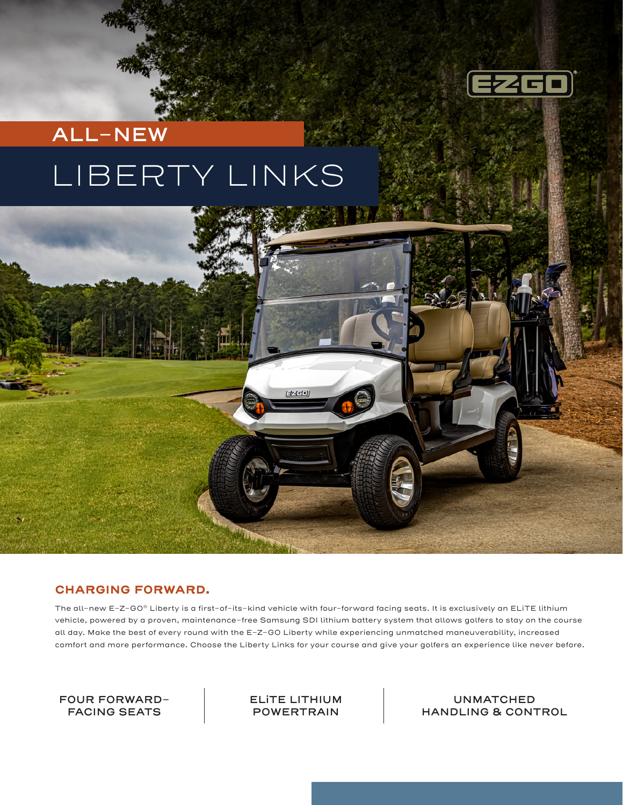

## **ALL-NEW**

# LIBERTY LINKS



### **CHARGING FORWARD.**

The all-new E-Z-GO® Liberty is a first-of-its-kind vehicle with four-forward facing seats. It is exclusively an ELiTE lithium vehicle, powered by a proven, maintenance-free Samsung SDI lithium battery system that allows golfers to stay on the course all day. Make the best of every round with the E-Z-GO Liberty while experiencing unmatched maneuverability, increased comfort and more performance. Choose the Liberty Links for your course and give your golfers an experience like never before.

**FOUR FORWARD-FACING SEATS**

**ELiTE LITHIUM POWERTRAIN**

**UNMATCHED HANDLING & CONTROL**